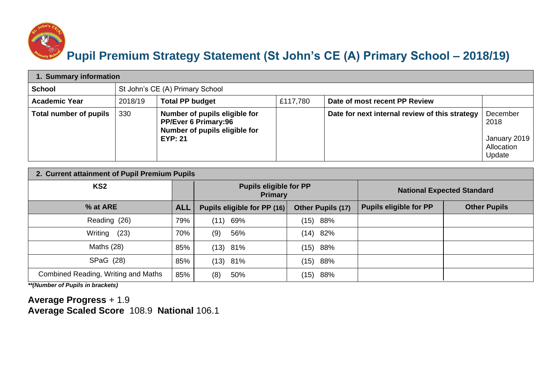

## **Pupil Premium Strategy Statement (St John's CE (A) Primary School – 2018/19)**

| 1. Summary information |         |                                                                                                                 |          |                                                |                                                          |  |  |
|------------------------|---------|-----------------------------------------------------------------------------------------------------------------|----------|------------------------------------------------|----------------------------------------------------------|--|--|
| <b>School</b>          |         | St John's CE (A) Primary School                                                                                 |          |                                                |                                                          |  |  |
| <b>Academic Year</b>   | 2018/19 | <b>Total PP budget</b>                                                                                          | £117,780 | Date of most recent PP Review                  |                                                          |  |  |
| Total number of pupils | 330     | Number of pupils eligible for<br><b>PP/Ever 6 Primary:96</b><br>Number of pupils eligible for<br><b>EYP: 21</b> |          | Date for next internal review of this strategy | December<br>2018<br>January 2019<br>Allocation<br>Update |  |  |

| 2. Current attainment of Pupil Premium Pupils |            |                                                 |                   |                                   |                     |  |  |
|-----------------------------------------------|------------|-------------------------------------------------|-------------------|-----------------------------------|---------------------|--|--|
| KS <sub>2</sub>                               |            | <b>Pupils eligible for PP</b><br><b>Primary</b> |                   | <b>National Expected Standard</b> |                     |  |  |
| % at ARE                                      | <b>ALL</b> | Pupils eligible for PP (16)                     | Other Pupils (17) | <b>Pupils eligible for PP</b>     | <b>Other Pupils</b> |  |  |
| Reading (26)                                  | 79%        | 69%<br>(11)                                     | 88%<br>(15)       |                                   |                     |  |  |
| Writing<br>(23)                               | 70%        | 56%<br>(9)                                      | (14)<br>82%       |                                   |                     |  |  |
| Maths $(28)$                                  | 85%        | $(13)$ 81%                                      | (15)<br>88%       |                                   |                     |  |  |
| SPaG (28)                                     | 85%        | (13) 81%                                        | (15)<br>88%       |                                   |                     |  |  |
| Combined Reading, Writing and Maths           | 85%        | 50%<br>(8)                                      | (15)<br>88%       |                                   |                     |  |  |

*\*\*(Number of Pupils in brackets)*

**Average Progress** + 1.9 **Average Scaled Score** 108.9 **National** 106.1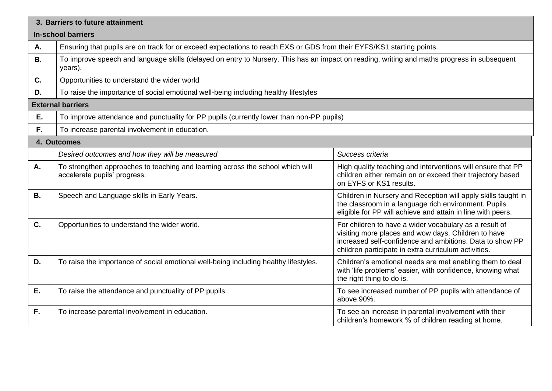|                           | 3. Barriers to future attainment                                                                                                                       |                                                                                                                                                                                                                                   |  |  |  |  |  |
|---------------------------|--------------------------------------------------------------------------------------------------------------------------------------------------------|-----------------------------------------------------------------------------------------------------------------------------------------------------------------------------------------------------------------------------------|--|--|--|--|--|
| <b>In-school barriers</b> |                                                                                                                                                        |                                                                                                                                                                                                                                   |  |  |  |  |  |
| Α.                        | Ensuring that pupils are on track for or exceed expectations to reach EXS or GDS from their EYFS/KS1 starting points.                                  |                                                                                                                                                                                                                                   |  |  |  |  |  |
| <b>B.</b>                 | To improve speech and language skills (delayed on entry to Nursery. This has an impact on reading, writing and maths progress in subsequent<br>years). |                                                                                                                                                                                                                                   |  |  |  |  |  |
| C.                        | Opportunities to understand the wider world                                                                                                            |                                                                                                                                                                                                                                   |  |  |  |  |  |
| D.                        | To raise the importance of social emotional well-being including healthy lifestyles                                                                    |                                                                                                                                                                                                                                   |  |  |  |  |  |
|                           | <b>External barriers</b>                                                                                                                               |                                                                                                                                                                                                                                   |  |  |  |  |  |
| Ε.                        | To improve attendance and punctuality for PP pupils (currently lower than non-PP pupils)                                                               |                                                                                                                                                                                                                                   |  |  |  |  |  |
| F.                        | To increase parental involvement in education.                                                                                                         |                                                                                                                                                                                                                                   |  |  |  |  |  |
|                           | 4. Outcomes                                                                                                                                            |                                                                                                                                                                                                                                   |  |  |  |  |  |
|                           | Desired outcomes and how they will be measured                                                                                                         | Success criteria                                                                                                                                                                                                                  |  |  |  |  |  |
| Α.                        | To strengthen approaches to teaching and learning across the school which will<br>accelerate pupils' progress.                                         | High quality teaching and interventions will ensure that PP<br>children either remain on or exceed their trajectory based<br>on EYFS or KS1 results.                                                                              |  |  |  |  |  |
| <b>B.</b>                 | Speech and Language skills in Early Years.                                                                                                             | Children in Nursery and Reception will apply skills taught in<br>the classroom in a language rich environment. Pupils<br>eligible for PP will achieve and attain in line with peers.                                              |  |  |  |  |  |
| C.                        | Opportunities to understand the wider world.                                                                                                           | For children to have a wider vocabulary as a result of<br>visiting more places and wow days. Children to have<br>increased self-confidence and ambitions. Data to show PP<br>children participate in extra curriculum activities. |  |  |  |  |  |
| D.                        | To raise the importance of social emotional well-being including healthy lifestyles.                                                                   | Children's emotional needs are met enabling them to deal<br>with 'life problems' easier, with confidence, knowing what<br>the right thing to do is.                                                                               |  |  |  |  |  |
| Ε.                        | To raise the attendance and punctuality of PP pupils.                                                                                                  | To see increased number of PP pupils with attendance of<br>above 90%.                                                                                                                                                             |  |  |  |  |  |
| F.                        | To increase parental involvement in education.                                                                                                         | To see an increase in parental involvement with their<br>children's homework % of children reading at home.                                                                                                                       |  |  |  |  |  |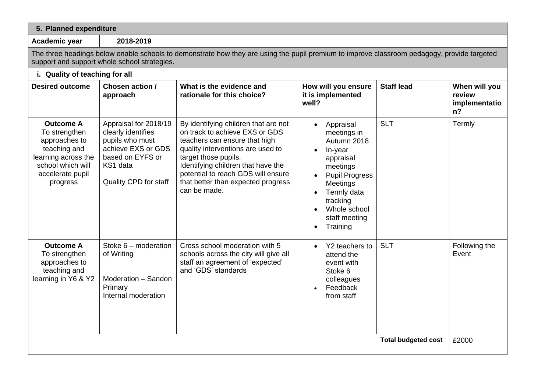| 5. Planned expenditure                                                                                                                                                                      |                                                                                                                                               |                                                                                                                                                                                                                                                                                                        |                                                                                                                                                                                                                    |                            |                                                   |  |  |
|---------------------------------------------------------------------------------------------------------------------------------------------------------------------------------------------|-----------------------------------------------------------------------------------------------------------------------------------------------|--------------------------------------------------------------------------------------------------------------------------------------------------------------------------------------------------------------------------------------------------------------------------------------------------------|--------------------------------------------------------------------------------------------------------------------------------------------------------------------------------------------------------------------|----------------------------|---------------------------------------------------|--|--|
| Academic year                                                                                                                                                                               | 2018-2019                                                                                                                                     |                                                                                                                                                                                                                                                                                                        |                                                                                                                                                                                                                    |                            |                                                   |  |  |
| The three headings below enable schools to demonstrate how they are using the pupil premium to improve classroom pedagogy, provide targeted<br>support and support whole school strategies. |                                                                                                                                               |                                                                                                                                                                                                                                                                                                        |                                                                                                                                                                                                                    |                            |                                                   |  |  |
| i. Quality of teaching for all                                                                                                                                                              |                                                                                                                                               |                                                                                                                                                                                                                                                                                                        |                                                                                                                                                                                                                    |                            |                                                   |  |  |
| <b>Desired outcome</b>                                                                                                                                                                      | Chosen action /<br>approach                                                                                                                   | What is the evidence and<br>rationale for this choice?                                                                                                                                                                                                                                                 | How will you ensure<br>it is implemented<br>well?                                                                                                                                                                  | <b>Staff lead</b>          | When will you<br>review<br>implementatio<br>$n$ ? |  |  |
| <b>Outcome A</b><br>To strengthen<br>approaches to<br>teaching and<br>learning across the<br>school which will<br>accelerate pupil<br>progress                                              | Appraisal for 2018/19<br>clearly identifies<br>pupils who must<br>achieve EXS or GDS<br>based on EYFS or<br>KS1 data<br>Quality CPD for staff | By identifying children that are not<br>on track to achieve EXS or GDS<br>teachers can ensure that high<br>quality interventions are used to<br>target those pupils.<br>Identifying children that have the<br>potential to reach GDS will ensure<br>that better than expected progress<br>can be made. | Appraisal<br>$\bullet$<br>meetings in<br>Autumn 2018<br>In-year<br>appraisal<br>meetings<br><b>Pupil Progress</b><br>Meetings<br>Termly data<br>tracking<br>Whole school<br>staff meeting<br>Training<br>$\bullet$ | <b>SLT</b>                 | Termly                                            |  |  |
| <b>Outcome A</b><br>To strengthen<br>approaches to<br>teaching and<br>learning in Y6 & Y2                                                                                                   | Stoke $6$ – moderation<br>of Writing<br>Moderation - Sandon<br>Primary<br>Internal moderation                                                 | Cross school moderation with 5<br>schools across the city will give all<br>staff an agreement of 'expected'<br>and 'GDS' standards                                                                                                                                                                     | Y2 teachers to<br>$\bullet$<br>attend the<br>event with<br>Stoke 6<br>colleagues<br>Feedback<br>from staff                                                                                                         | <b>SLT</b>                 | Following the<br>Event                            |  |  |
|                                                                                                                                                                                             |                                                                                                                                               |                                                                                                                                                                                                                                                                                                        |                                                                                                                                                                                                                    | <b>Total budgeted cost</b> | £2000                                             |  |  |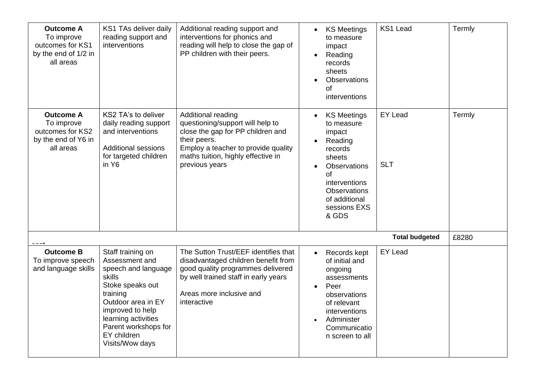| <b>Outcome A</b><br>To improve<br>outcomes for KS1<br>by the end of 1/2 in<br>all areas | KS1 TAs deliver daily<br>reading support and<br>interventions                                                                                                                                                                   | Additional reading support and<br>interventions for phonics and<br>reading will help to close the gap of<br>PP children with their peers.                                                                  | <b>KS Meetings</b><br>to measure<br>impact<br>Reading<br>records<br>sheets<br>Observations<br>of<br>interventions                                                                  | KS1 Lead                     | Termly |
|-----------------------------------------------------------------------------------------|---------------------------------------------------------------------------------------------------------------------------------------------------------------------------------------------------------------------------------|------------------------------------------------------------------------------------------------------------------------------------------------------------------------------------------------------------|------------------------------------------------------------------------------------------------------------------------------------------------------------------------------------|------------------------------|--------|
| <b>Outcome A</b><br>To improve<br>outcomes for KS2<br>by the end of Y6 in<br>all areas  | KS2 TA's to deliver<br>daily reading support<br>and interventions<br><b>Additional sessions</b><br>for targeted children<br>in Y <sub>6</sub>                                                                                   | Additional reading<br>questioning/support will help to<br>close the gap for PP children and<br>their peers.<br>Employ a teacher to provide quality<br>maths tuition, highly effective in<br>previous years | <b>KS Meetings</b><br>to measure<br>impact<br>Reading<br>records<br>sheets<br>Observations<br>of<br>interventions<br><b>Observations</b><br>of additional<br>sessions EXS<br>& GDS | <b>EY Lead</b><br><b>SLT</b> | Termly |
|                                                                                         |                                                                                                                                                                                                                                 |                                                                                                                                                                                                            |                                                                                                                                                                                    | <b>Total budgeted</b>        | £8280  |
| <b>Outcome B</b><br>To improve speech<br>and language skills                            | Staff training on<br>Assessment and<br>speech and language<br>skills<br>Stoke speaks out<br>training<br>Outdoor area in EY<br>improved to help<br>learning activities<br>Parent workshops for<br>EY children<br>Visits/Wow days | The Sutton Trust/EEF identifies that<br>disadvantaged children benefit from<br>good quality programmes delivered<br>by well trained staff in early years<br>Areas more inclusive and<br>interactive        | Records kept<br>$\bullet$<br>of initial and<br>ongoing<br>assessments<br>Peer<br>observations<br>of relevant<br>interventions<br>Administer<br>Communicatio<br>n screen to all     | <b>EY Lead</b>               |        |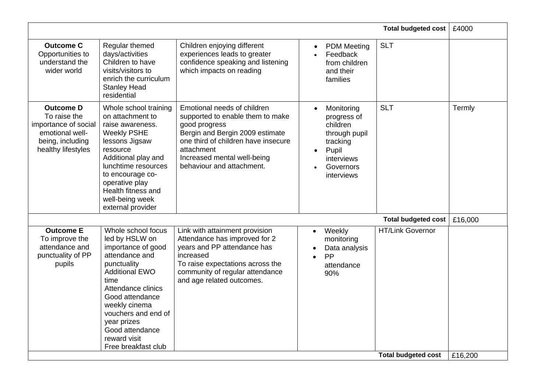|                                                                                                                       |                                                                                                                                                                                                                                                                                        |                                                                                                                                                                                                                                      |                                                                                                                                                | <b>Total budgeted cost</b> | £4000   |
|-----------------------------------------------------------------------------------------------------------------------|----------------------------------------------------------------------------------------------------------------------------------------------------------------------------------------------------------------------------------------------------------------------------------------|--------------------------------------------------------------------------------------------------------------------------------------------------------------------------------------------------------------------------------------|------------------------------------------------------------------------------------------------------------------------------------------------|----------------------------|---------|
| <b>Outcome C</b><br>Opportunities to<br>understand the<br>wider world                                                 | Regular themed<br>days/activities<br>Children to have<br>visits/visitors to<br>enrich the curriculum<br><b>Stanley Head</b><br>residential                                                                                                                                             | Children enjoying different<br>experiences leads to greater<br>confidence speaking and listening<br>which impacts on reading                                                                                                         | <b>PDM</b> Meeting<br>$\bullet$<br>Feedback<br>from children<br>and their<br>families                                                          | <b>SLT</b>                 |         |
| <b>Outcome D</b><br>To raise the<br>importance of social<br>emotional well-<br>being, including<br>healthy lifestyles | Whole school training<br>on attachment to<br>raise awareness.<br><b>Weekly PSHE</b><br>lessons Jigsaw<br>resource<br>Additional play and<br>lunchtime resources<br>to encourage co-<br>operative play<br>Health fitness and<br>well-being week<br>external provider                    | Emotional needs of children<br>supported to enable them to make<br>good progress<br>Bergin and Bergin 2009 estimate<br>one third of children have insecure<br>attachment<br>Increased mental well-being<br>behaviour and attachment. | Monitoring<br>$\bullet$<br>progress of<br>children<br>through pupil<br>tracking<br>Pupil<br>$\bullet$<br>interviews<br>Governors<br>interviews | <b>SLT</b>                 | Termly  |
|                                                                                                                       |                                                                                                                                                                                                                                                                                        |                                                                                                                                                                                                                                      |                                                                                                                                                | <b>Total budgeted cost</b> | £16,000 |
| <b>Outcome E</b><br>To improve the<br>attendance and<br>punctuality of PP<br>pupils                                   | Whole school focus<br>led by HSLW on<br>importance of good<br>attendance and<br>punctuality<br><b>Additional EWO</b><br>time<br>Attendance clinics<br>Good attendance<br>weekly cinema<br>vouchers and end of<br>year prizes<br>Good attendance<br>reward visit<br>Free breakfast club | Link with attainment provision<br>Attendance has improved for 2<br>years and PP attendance has<br>increased<br>To raise expectations across the<br>community of regular attendance<br>and age related outcomes.                      | Weekly<br>$\bullet$<br>monitoring<br>Data analysis<br>PP<br>$\bullet$<br>attendance<br>90%                                                     | <b>HT/Link Governor</b>    |         |
|                                                                                                                       |                                                                                                                                                                                                                                                                                        |                                                                                                                                                                                                                                      |                                                                                                                                                | <b>Total budgeted cost</b> | £16,200 |